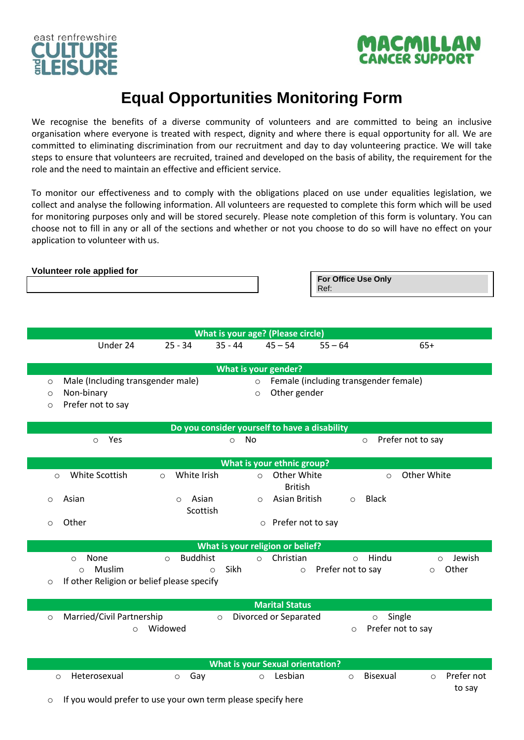



## **Equal Opportunities Monitoring Form**

We recognise the benefits of a diverse community of volunteers and are committed to being an inclusive organisation where everyone is treated with respect, dignity and where there is equal opportunity for all. We are committed to eliminating discrimination from our recruitment and day to day volunteering practice. We will take steps to ensure that volunteers are recruited, trained and developed on the basis of ability, the requirement for the role and the need to maintain an effective and efficient service.

To monitor our effectiveness and to comply with the obligations placed on use under equalities legislation, we collect and analyse the following information. All volunteers are requested to complete this form which will be used for monitoring purposes only and will be stored securely. Please note completion of this form is voluntary. You can choose not to fill in any or all of the sections and whether or not you choose to do so will have no effect on your application to volunteer with us.

|                               | Volunteer role applied for                                                         |                              |                 |                                               | For Office Use Only<br>Ref:  |                                                |
|-------------------------------|------------------------------------------------------------------------------------|------------------------------|-----------------|-----------------------------------------------|------------------------------|------------------------------------------------|
|                               |                                                                                    |                              |                 | What is your age? (Please circle)             |                              |                                                |
|                               | Under 24                                                                           | $25 - 34$                    | $35 - 44$       | $45 - 54$                                     | $55 - 64$                    | $65+$                                          |
|                               |                                                                                    |                              |                 | What is your gender?                          |                              |                                                |
| $\circ$<br>$\circ$<br>$\circ$ | Male (Including transgender male)<br>Non-binary<br>Prefer not to say               |                              |                 | $\circ$<br>Other gender<br>$\circ$            |                              | Female (including transgender female)          |
|                               |                                                                                    |                              |                 | Do you consider yourself to have a disability |                              |                                                |
|                               | Yes<br>$\circ$                                                                     |                              | No<br>$\circ$   |                                               |                              | Prefer not to say<br>$\circ$                   |
|                               |                                                                                    |                              |                 | What is your ethnic group?                    |                              |                                                |
| $\circ$                       | White Scottish                                                                     | White Irish<br>$\circ$       |                 | Other White<br>$\circ$<br><b>British</b>      |                              | Other White<br>$\circ$                         |
| $\circ$                       | Asian                                                                              | Asian<br>$\circ$<br>Scottish |                 | Asian British<br>$\circ$                      | $\circ$                      | <b>Black</b>                                   |
| $\circ$                       | Other                                                                              |                              |                 | o Prefer not to say                           |                              |                                                |
|                               |                                                                                    |                              |                 | What is your religion or belief?              |                              |                                                |
| O                             | None<br>$\circ$<br>Muslim<br>$\circ$<br>If other Religion or belief please specify | <b>Buddhist</b><br>$\circ$   | Sikh<br>$\circ$ | Christian<br>$\circ$<br>$\circ$               | $\circ$<br>Prefer not to say | Hindu<br>Jewish<br>$\circ$<br>Other<br>$\circ$ |
|                               |                                                                                    |                              |                 | <b>Marital Status</b>                         |                              |                                                |
| $\circ$                       | Married/Civil Partnership<br>$\bigcirc$                                            | Widowed                      | $\circ$         | Divorced or Separated                         | $\circ$                      | Single<br>$\circ$<br>Prefer not to say         |
|                               |                                                                                    |                              |                 | <b>What is your Sexual orientation?</b>       |                              |                                                |
| $\circ$<br>O                  | Heterosexual<br>If you would prefer to use your own term please specify here       | Gay<br>$\circ$               |                 | o Lesbian                                     | $\circ$                      | Prefer not<br>Bisexual<br>$\circ$<br>to say    |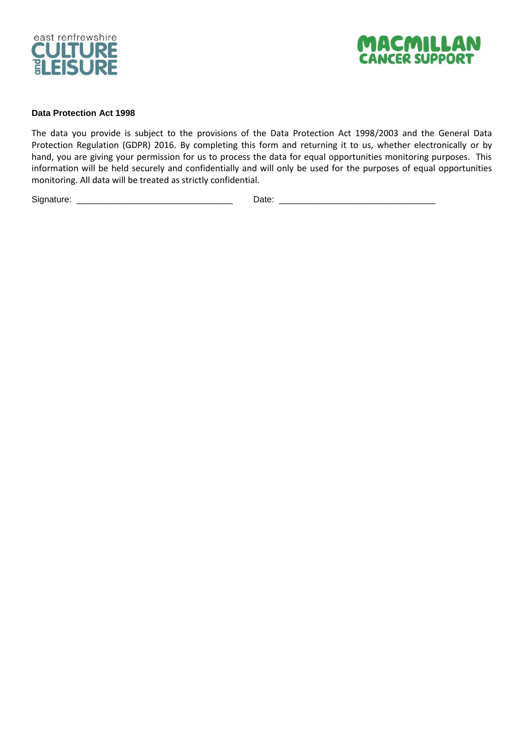



## **Data Protection Act 1998**

The data you provide is subject to the provisions of the Data Protection Act 1998/2003 and the General Data Protection Regulation (GDPR) 2016. By completing this form and returning it to us, whether electronically or by hand, you are giving your permission for us to process the data for equal opportunities monitoring purposes. This information will be held securely and confidentially and will only be used for the purposes of equal opportunities monitoring. All data will be treated as strictly confidential.

Signature: \_\_\_\_\_\_\_\_\_\_\_\_\_\_\_\_\_\_\_\_\_\_\_\_\_\_\_\_\_\_\_\_ Date: \_\_\_\_\_\_\_\_\_\_\_\_\_\_\_\_\_\_\_\_\_\_\_\_\_\_\_\_\_\_\_\_